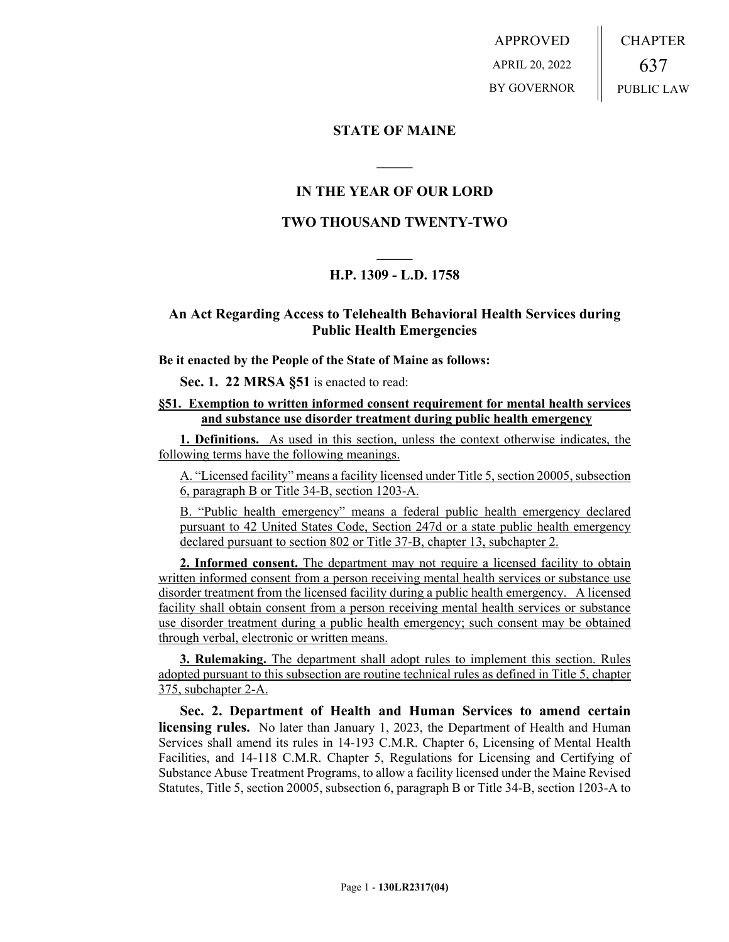APPROVED APRIL 20, 2022 BY GOVERNOR CHAPTER 637 PUBLIC LAW

## **STATE OF MAINE**

## **IN THE YEAR OF OUR LORD**

**\_\_\_\_\_**

## **TWO THOUSAND TWENTY-TWO**

# **\_\_\_\_\_ H.P. 1309 - L.D. 1758**

## **An Act Regarding Access to Telehealth Behavioral Health Services during Public Health Emergencies**

#### **Be it enacted by the People of the State of Maine as follows:**

**Sec. 1. 22 MRSA §51** is enacted to read:

### **§51. Exemption to written informed consent requirement for mental health services and substance use disorder treatment during public health emergency**

**1. Definitions.** As used in this section, unless the context otherwise indicates, the following terms have the following meanings.

A. "Licensed facility" means a facility licensed under Title 5, section 20005, subsection 6, paragraph B or Title 34-B, section 1203-A.

B. "Public health emergency" means a federal public health emergency declared pursuant to 42 United States Code, Section 247d or a state public health emergency declared pursuant to section 802 or Title 37-B, chapter 13, subchapter 2.

**2. Informed consent.** The department may not require a licensed facility to obtain written informed consent from a person receiving mental health services or substance use disorder treatment from the licensed facility during a public health emergency. A licensed facility shall obtain consent from a person receiving mental health services or substance use disorder treatment during a public health emergency; such consent may be obtained through verbal, electronic or written means.

**3. Rulemaking.** The department shall adopt rules to implement this section. Rules adopted pursuant to this subsection are routine technical rules as defined in Title 5, chapter 375, subchapter 2-A.

**Sec. 2. Department of Health and Human Services to amend certain licensing rules.** No later than January 1, 2023, the Department of Health and Human Services shall amend its rules in 14-193 C.M.R. Chapter 6, Licensing of Mental Health Facilities, and 14-118 C.M.R. Chapter 5, Regulations for Licensing and Certifying of Substance Abuse Treatment Programs, to allow a facility licensed under the Maine Revised Statutes, Title 5, section 20005, subsection 6, paragraph B or Title 34-B, section 1203-A to